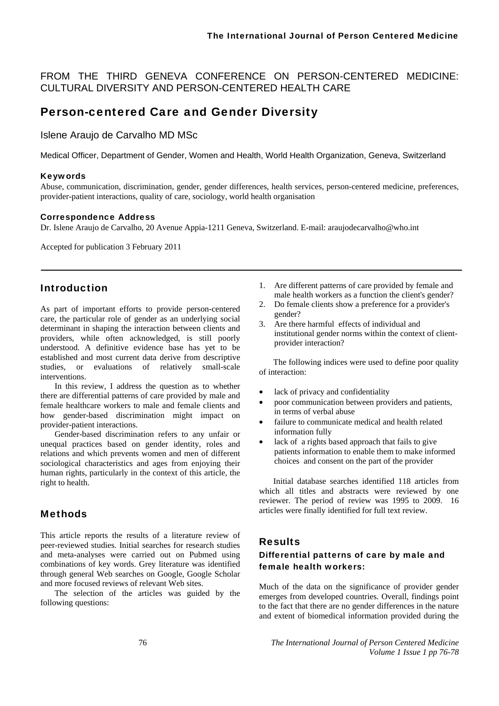FROM THE THIRD GENEVA CONFERENCE ON PERSON-CENTERED MEDICINE: CULTURAL DIVERSITY AND PERSON-CENTERED HEALTH CARE

# Person-centered Care and Gender Diversity

Islene Araujo de Carvalho MD MSc

Medical Officer, Department of Gender, Women and Health, World Health Organization, Geneva, Switzerland

### Keywords

Abuse, communication, discrimination, gender, gender differences, health services, person-centered medicine, preferences, provider-patient interactions, quality of care, sociology, world health organisation

### Correspondence Address

Dr. Islene Araujo de Carvalho, 20 Avenue Appia-1211 Geneva, Switzerland. E-mail: araujodecarvalho@who.int

Accepted for publication 3 February 2011

## Introduction

As part of important efforts to provide person-centered care, the particular role of gender as an underlying social determinant in shaping the interaction between clients and providers, while often acknowledged, is still poorly understood. A definitive evidence base has yet to be established and most current data derive from descriptive studies, or evaluations of relatively small-scale interventions.

In this review, I address the question as to whether there are differential patterns of care provided by male and female healthcare workers to male and female clients and how gender-based discrimination might impact on provider-patient interactions.

Gender-based discrimination refers to any unfair or unequal practices based on gender identity, roles and relations and which prevents women and men of different sociological characteristics and ages from enjoying their human rights, particularly in the context of this article, the right to health.

## Methods

This article reports the results of a literature review of peer-reviewed studies. Initial searches for research studies and meta-analyses were carried out on Pubmed using combinations of key words. Grey literature was identified through general Web searches on Google, Google Scholar and more focused reviews of relevant Web sites.

The selection of the articles was guided by the following questions:

- 1. Are different patterns of care provided by female and male health workers as a function the client's gender?
- 2. Do female clients show a preference for a provider's gender?
- 3. Are there harmful effects of individual and institutional gender norms within the context of clientprovider interaction?

The following indices were used to define poor quality of interaction:

- lack of privacy and confidentiality
- poor communication between providers and patients, in terms of verbal abuse
- failure to communicate medical and health related information fully
- lack of a rights based approach that fails to give patients information to enable them to make informed choices and consent on the part of the provider

Initial database searches identified 118 articles from which all titles and abstracts were reviewed by one reviewer. The period of review was 1995 to 2009. 16 articles were finally identified for full text review.

## Results

# Differential patterns of care by male and female health workers:

Much of the data on the significance of provider gender emerges from developed countries. Overall, findings point to the fact that there are no gender differences in the nature and extent of biomedical information provided during the

76 *The International Journal of Person Centered Medicine Volume 1 Issue 1 pp 76-78*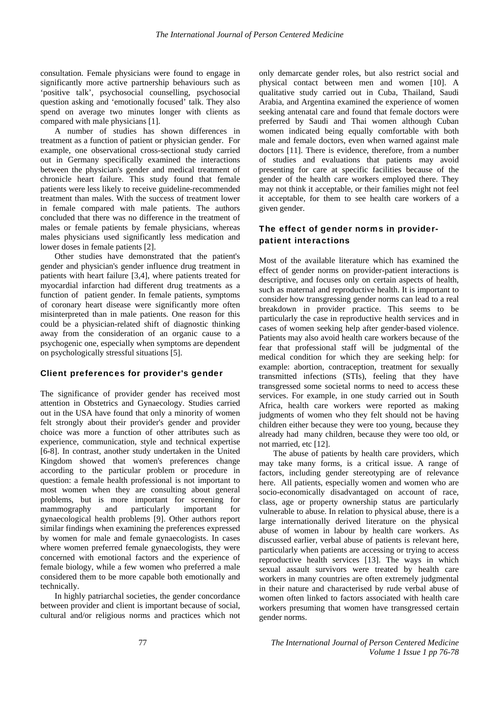consultation. Female physicians were found to engage in significantly more active partnership behaviours such as 'positive talk', psychosocial counselling, psychosocial question asking and 'emotionally focused' talk. They also spend on average two minutes longer with clients as compared with male physicians [1].

A number of studies has shown differences in treatment as a function of patient or physician gender. For example, one observational cross-sectional study carried out in Germany specifically examined the interactions between the physician's gender and medical treatment of chronicle heart failure. This study found that female patients were less likely to receive guideline-recommended treatment than males. With the success of treatment lower in female compared with male patients. The authors concluded that there was no difference in the treatment of males or female patients by female physicians, whereas males physicians used significantly less medication and lower doses in female patients [2].

Other studies have demonstrated that the patient's gender and physician's gender influence drug treatment in patients with heart failure [3,4], where patients treated for myocardial infarction had different drug treatments as a function of patient gender. In female patients, symptoms of coronary heart disease were significantly more often misinterpreted than in male patients. One reason for this could be a physician-related shift of diagnostic thinking away from the consideration of an organic cause to a psychogenic one, especially when symptoms are dependent on psychologically stressful situations [5].

#### Client preferences for provider's gender

The significance of provider gender has received most attention in Obstetrics and Gynaecology. Studies carried out in the USA have found that only a minority of women felt strongly about their provider's gender and provider choice was more a function of other attributes such as experience, communication, style and technical expertise [6-8]. In contrast, another study undertaken in the United Kingdom showed that women's preferences change according to the particular problem or procedure in question: a female health professional is not important to most women when they are consulting about general problems, but is more important for screening for mammography and particularly important for gynaecological health problems [9]. Other authors report similar findings when examining the preferences expressed by women for male and female gynaecologists. In cases where women preferred female gynaecologists, they were concerned with emotional factors and the experience of female biology, while a few women who preferred a male considered them to be more capable both emotionally and technically.

In highly patriarchal societies, the gender concordance between provider and client is important because of social, cultural and/or religious norms and practices which not only demarcate gender roles, but also restrict social and physical contact between men and women [10]. A qualitative study carried out in Cuba, Thailand, Saudi Arabia, and Argentina examined the experience of women seeking antenatal care and found that female doctors were preferred by Saudi and Thai women although Cuban women indicated being equally comfortable with both male and female doctors, even when warned against male doctors [11]. There is evidence, therefore, from a number of studies and evaluations that patients may avoid presenting for care at specific facilities because of the gender of the health care workers employed there. They may not think it acceptable, or their families might not feel it acceptable, for them to see health care workers of a given gender.

### The effect of gender norms in providerpatient interactions

Most of the available literature which has examined the effect of gender norms on provider-patient interactions is descriptive, and focuses only on certain aspects of health, such as maternal and reproductive health. It is important to consider how transgressing gender norms can lead to a real breakdown in provider practice. This seems to be particularly the case in reproductive health services and in cases of women seeking help after gender-based violence. Patients may also avoid health care workers because of the fear that professional staff will be judgmental of the medical condition for which they are seeking help: for example: abortion, contraception, treatment for sexually transmitted infections (STIs), feeling that they have transgressed some societal norms to need to access these services. For example, in one study carried out in South Africa, health care workers were reported as making judgments of women who they felt should not be having children either because they were too young, because they already had many children, because they were too old, or not married, etc [12].

The abuse of patients by health care providers, which may take many forms, is a critical issue. A range of factors, including gender stereotyping are of relevance here. All patients, especially women and women who are socio-economically disadvantaged on account of race, class, age or property ownership status are particularly vulnerable to abuse. In relation to physical abuse, there is a large internationally derived literature on the physical abuse of women in labour by health care workers. As discussed earlier, verbal abuse of patients is relevant here, particularly when patients are accessing or trying to access reproductive health services [13]. The ways in which sexual assault survivors were treated by health care workers in many countries are often extremely judgmental in their nature and characterised by rude verbal abuse of women often linked to factors associated with health care workers presuming that women have transgressed certain gender norms.

77 *The International Journal of Person Centered Medicine Volume 1 Issue 1 pp 76-78*